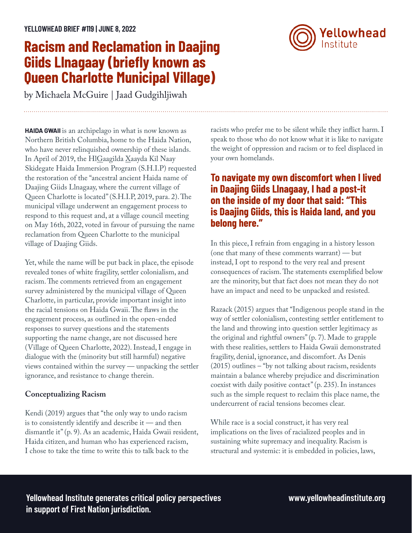# **Racism and Reclamation in Daajing Giids Llnagaay (briefly known as Queen Charlotte Municipal Village)**

by Michaela McGuire | Jaad Gudgihljiwah

**HAIDA GWAII** is an archipelago in what is now known as Northern British Columbia, home to the Haida Nation, who have never relinquished ownership of these islands. In April of 2019, the HlGaagilda Xaayda Kil Naay Skidegate Haida Immersion Program (S.H.I.P) requested the restoration of the "ancestral ancient Haida name of Daajing Giids Llnagaay, where the current village of Queen Charlotte is located" (S.H.I.P, 2019, para. 2). The municipal village underwent an engagement process to respond to this request and, at a village council meeting on May 16th, 2022, voted in favour of pursuing the name reclamation from Queen Charlotte to the municipal village of Daajing Giids.

Yet, while the name will be put back in place, the episode revealed tones of white fragility, settler colonialism, and racism. The comments retrieved from an engagement survey administered by the municipal village of Queen Charlotte, in particular, provide important insight into the racial tensions on Haida Gwaii. The flaws in the engagement process, as outlined in the open-ended responses to survey questions and the statements supporting the name change, are not discussed here (Village of Queen Charlotte, 2022). Instead, I engage in dialogue with the (minority but still harmful) negative views contained within the survey — unpacking the settler ignorance, and resistance to change therein.

### **Conceptualizing Racism**

Kendi (2019) argues that "the only way to undo racism is to consistently identify and describe it — and then dismantle it" (p. 9). As an academic, Haida Gwaii resident, Haida citizen, and human who has experienced racism, I chose to take the time to write this to talk back to the

racists who prefer me to be silent while they inflict harm. I speak to those who do not know what it is like to navigate the weight of oppression and racism or to feel displaced in your own homelands.

# **To navigate my own discomfort when I lived in Daajing Giids Llnagaay, I had a post-it on the inside of my door that said: "This is Daajing Giids, this is Haida land, and you belong here."**

In this piece, I refrain from engaging in a history lesson (one that many of these comments warrant) — but instead, I opt to respond to the very real and present consequences of racism. The statements exemplified below are the minority, but that fact does not mean they do not have an impact and need to be unpacked and resisted.

Razack (2015) argues that "Indigenous people stand in the way of settler colonialism, contesting settler entitlement to the land and throwing into question settler legitimacy as the original and rightful owners" (p. 7). Made to grapple with these realities, settlers to Haida Gwaii demonstrated fragility, denial, ignorance, and discomfort. As Denis (2015) outlines – "by not talking about racism, residents maintain a balance whereby prejudice and discrimination coexist with daily positive contact" (p. 235). In instances such as the simple request to reclaim this place name, the undercurrent of racial tensions becomes clear.

While race is a social construct, it has very real implications on the lives of racialized peoples and in sustaining white supremacy and inequality. Racism is structural and systemic: it is embedded in policies, laws,

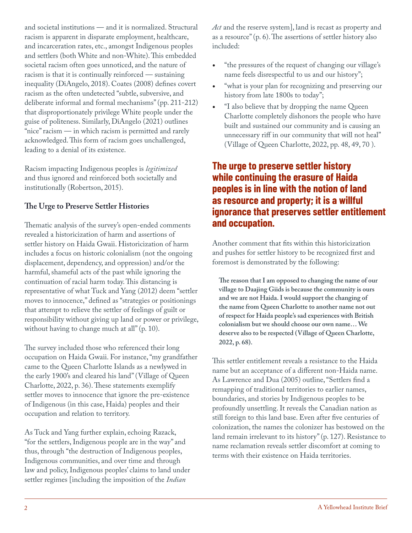and societal institutions — and it is normalized. Structural racism is apparent in disparate employment, healthcare, and incarceration rates, etc., amongst Indigenous peoples and settlers (both White and non-White). This embedded societal racism often goes unnoticed, and the nature of racism is that it is continually reinforced — sustaining inequality (DiAngelo, 2018). Coates (2008) defines covert racism as the often undetected "subtle, subversive, and deliberate informal and formal mechanisms" (pp. 211-212) that disproportionately privilege White people under the guise of politeness. Similarly, DiAngelo (2021) outlines "nice" racism — in which racism is permitted and rarely acknowledged. This form of racism goes unchallenged, leading to a denial of its existence.

Racism impacting Indigenous peoples is *legitimized* and thus ignored and reinforced both societally and institutionally (Robertson, 2015).

### **The Urge to Preserve Settler Histories**

Thematic analysis of the survey's open-ended comments revealed a historicization of harm and assertions of settler history on Haida Gwaii. Historicization of harm includes a focus on historic colonialism (not the ongoing displacement, dependency, and oppression) and/or the harmful, shameful acts of the past while ignoring the continuation of racial harm today. This distancing is representative of what Tuck and Yang (2012) deem "settler moves to innocence," defined as "strategies or positionings that attempt to relieve the settler of feelings of guilt or responsibility without giving up land or power or privilege, without having to change much at all" (p. 10).

The survey included those who referenced their long occupation on Haida Gwaii. For instance, "my grandfather came to the Queen Charlotte Islands as a newlywed in the early 1900's and cleared his land" (Village of Queen Charlotte, 2022, p. 36). These statements exemplify settler moves to innocence that ignore the pre-existence of Indigenous (in this case, Haida) peoples and their occupation and relation to territory.

As Tuck and Yang further explain, echoing Razack, "for the settlers, Indigenous people are in the way" and thus, through "the destruction of Indigenous peoples, Indigenous communities, and over time and through law and policy, Indigenous peoples' claims to land under settler regimes [including the imposition of the *Indian*

*Act* and the reserve system], land is recast as property and as a resource" (p. 6). The assertions of settler history also included:

- "the pressures of the request of changing our village's name feels disrespectful to us and our history";
- "what is your plan for recognizing and preserving our history from late 1800s to today";
- "I also believe that by dropping the name Queen Charlotte completely dishonors the people who have built and sustained our community and is causing an unnecessary riff in our community that will not heal" (Village of Queen Charlotte, 2022, pp. 48, 49, 70 ).

### **The urge to preserve settler history while continuing the erasure of Haida peoples is in line with the notion of land as resource and property; it is a willful ignorance that preserves settler entitlement and occupation.**

Another comment that fits within this historicization and pushes for settler history to be recognized first and foremost is demonstrated by the following:

**The reason that I am opposed to changing the name of our village to Daajing Giids is because the community is ours and we are not Haida. I would support the changing of the name from Queen Charlotte to another name not out of respect for Haida people's sad experiences with British colonialism but we should choose our own name… We deserve also to be respected (Village of Queen Charlotte, 2022, p. 68).**

This settler entitlement reveals a resistance to the Haida name but an acceptance of a different non-Haida name. As Lawrence and Dua (2005) outline, "Settlers find a remapping of traditional territories to earlier names, boundaries, and stories by Indigenous peoples to be profoundly unsettling. It reveals the Canadian nation as still foreign to this land base. Even after five centuries of colonization, the names the colonizer has bestowed on the land remain irrelevant to its history" (p. 127). Resistance to name reclamation reveals settler discomfort at coming to terms with their existence on Haida territories.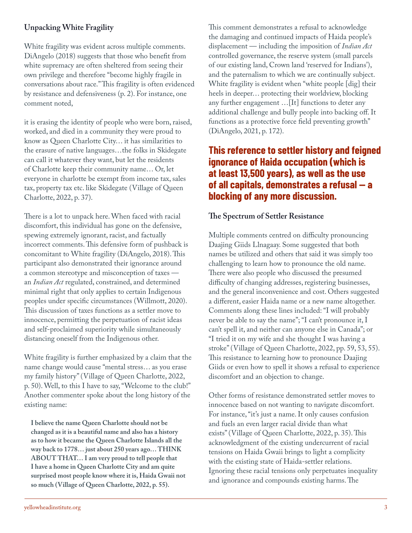### **Unpacking White Fragility**

White fragility was evident across multiple comments. DiAngelo (2018) suggests that those who benefit from white supremacy are often sheltered from seeing their own privilege and therefore "become highly fragile in conversations about race." This fragility is often evidenced by resistance and defensiveness (p. 2). For instance, one comment noted,

it is erasing the identity of people who were born, raised, worked, and died in a community they were proud to know as Queen Charlotte City… it has similarities to the erasure of native languages…the folks in Skidegate can call it whatever they want, but let the residents of Charlotte keep their community name… Or, let everyone in charlotte be exempt from income tax, sales tax, property tax etc. like Skidegate (Village of Queen Charlotte, 2022, p. 37).

There is a lot to unpack here. When faced with racial discomfort, this individual has gone on the defensive, spewing extremely ignorant, racist, and factually incorrect comments. This defensive form of pushback is concomitant to White fragility (DiAngelo, 2018). This participant also demonstrated their ignorance around a common stereotype and misconception of taxes an *Indian Act* regulated, constrained, and determined minimal right that only applies to certain Indigenous peoples under specific circumstances (Willmott, 2020). This discussion of taxes functions as a settler move to innocence, permitting the perpetuation of racist ideas and self-proclaimed superiority while simultaneously distancing oneself from the Indigenous other.

White fragility is further emphasized by a claim that the name change would cause "mental stress… as you erase my family history" (Village of Queen Charlotte, 2022, p. 50). Well, to this I have to say, "Welcome to the club!" Another commenter spoke about the long history of the existing name:

**I believe the name Queen Charlotte should not be changed as it is a beautiful name and also has a history as to how it became the Queen Charlotte Islands all the way back to 1778… just about 250 years ago… THINK ABOUT THAT… I am very proud to tell people that I have a home in Queen Charlotte City and am quite surprised most people know where it is, Haida Gwaii not so much (Village of Queen Charlotte, 2022, p. 55).**

This comment demonstrates a refusal to acknowledge the damaging and continued impacts of Haida people's displacement — including the imposition of *Indian Act* controlled governance, the reserve system (small parcels of our existing land, Crown land 'reserved for Indians'), and the paternalism to which we are continually subject. White fragility is evident when "white people [dig] their heels in deeper… protecting their worldview, blocking any further engagement …[It] functions to deter any additional challenge and bully people into backing off. It functions as a protective force field preventing growth" (DiAngelo, 2021, p. 172).

### **This reference to settler history and feigned ignorance of Haida occupation (which is at least 13,500 years), as well as the use of all capitals, demonstrates a refusal — a blocking of any more discussion.**

#### **The Spectrum of Settler Resistance**

Multiple comments centred on difficulty pronouncing Daajing Giids Llnagaay. Some suggested that both names be utilized and others that said it was simply too challenging to learn how to pronounce the old name. There were also people who discussed the presumed difficulty of changing addresses, registering businesses, and the general inconvenience and cost. Others suggested a different, easier Haida name or a new name altogether. Comments along these lines included: "I will probably never be able to say the name"; "I can't pronounce it, I can't spell it, and neither can anyone else in Canada"; or "I tried it on my wife and she thought I was having a stroke" (Village of Queen Charlotte, 2022, pp. 59, 53, 55). This resistance to learning how to pronounce Daajing Giids or even how to spell it shows a refusal to experience discomfort and an objection to change.

Other forms of resistance demonstrated settler moves to innocence based on not wanting to navigate discomfort. For instance, "it's just a name. It only causes confusion and fuels an even larger racial divide than what exists" (Village of Queen Charlotte, 2022, p. 35). This acknowledgment of the existing undercurrent of racial tensions on Haida Gwaii brings to light a complicity with the existing state of Haida-settler relations. Ignoring these racial tensions only perpetuates inequality and ignorance and compounds existing harms. The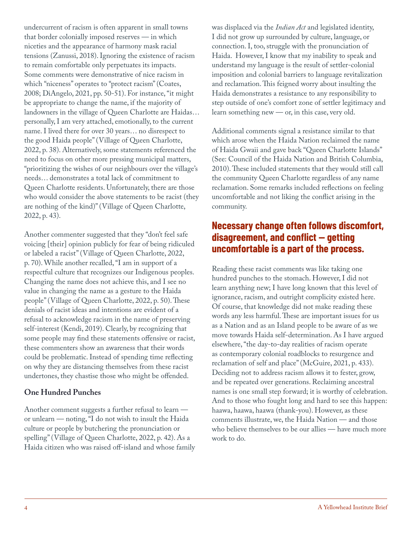undercurrent of racism is often apparent in small towns that border colonially imposed reserves — in which niceties and the appearance of harmony mask racial tensions (Zanussi, 2018). Ignoring the existence of racism to remain comfortable only perpetuates its impacts. Some comments were demonstrative of nice racism in which "niceness" operates to "protect racism" (Coates, 2008; DiAngelo, 2021, pp. 50-51). For instance, "it might be appropriate to change the name, if the majority of landowners in the village of Queen Charlotte are Haidas… personally, I am very attached, emotionally, to the current name. I lived there for over 30 years… no disrespect to the good Haida people" (Village of Queen Charlotte, 2022, p. 38). Alternatively, some statements referenced the need to focus on other more pressing municipal matters, "prioritizing the wishes of our neighbours over the village's needs… demonstrates a total lack of commitment to Queen Charlotte residents. Unfortunately, there are those who would consider the above statements to be racist (they are nothing of the kind)" (Village of Queen Charlotte, 2022, p. 43).

Another commenter suggested that they "don't feel safe voicing [their] opinion publicly for fear of being ridiculed or labeled a racist" (Village of Queen Charlotte, 2022, p. 70). While another recalled, "I am in support of a respectful culture that recognizes our Indigenous peoples. Changing the name does not achieve this, and I see no value in changing the name as a gesture to the Haida people" (Village of Queen Charlotte, 2022, p. 50). These denials of racist ideas and intentions are evident of a refusal to acknowledge racism in the name of preserving self-interest (Kendi, 2019). Clearly, by recognizing that some people may find these statements offensive or racist, these commenters show an awareness that their words could be problematic. Instead of spending time reflecting on why they are distancing themselves from these racist undertones, they chastise those who might be offended.

### **One Hundred Punches**

Another comment suggests a further refusal to learn or unlearn — noting, "I do not wish to insult the Haida culture or people by butchering the pronunciation or spelling" (Village of Queen Charlotte, 2022, p. 42). As a Haida citizen who was raised off-island and whose family was displaced via the *Indian Act* and legislated identity, I did not grow up surrounded by culture, language, or connection. I, too, struggle with the pronunciation of Haida. However, I know that my inability to speak and understand my language is the result of settler-colonial imposition and colonial barriers to language revitalization and reclamation. This feigned worry about insulting the Haida demonstrates a resistance to any responsibility to step outside of one's comfort zone of settler legitimacy and learn something new — or, in this case, very old.

Additional comments signal a resistance similar to that which arose when the Haida Nation reclaimed the name of Haida Gwaii and gave back "Queen Charlotte Islands" (See: Council of the Haida Nation and British Columbia, 2010). These included statements that they would still call the community Queen Charlotte regardless of any name reclamation. Some remarks included reflections on feeling uncomfortable and not liking the conflict arising in the community.

## **Necessary change often follows discomfort, disagreement, and conflict — getting uncomfortable is a part of the process.**

Reading these racist comments was like taking one hundred punches to the stomach. However, I did not learn anything new; I have long known that this level of ignorance, racism, and outright complicity existed here. Of course, that knowledge did not make reading these words any less harmful. These are important issues for us as a Nation and as an Island people to be aware of as we move towards Haida self-determination. As I have argued elsewhere, "the day-to-day realities of racism operate as contemporary colonial roadblocks to resurgence and reclamation of self and place" (McGuire, 2021, p. 433). Deciding not to address racism allows it to fester, grow, and be repeated over generations. Reclaiming ancestral names is one small step forward; it is worthy of celebration. And to those who fought long and hard to see this happen: haawa, haawa, haawa (thank-you). However, as these comments illustrate, we, the Haida Nation — and those who believe themselves to be our allies — have much more work to do.